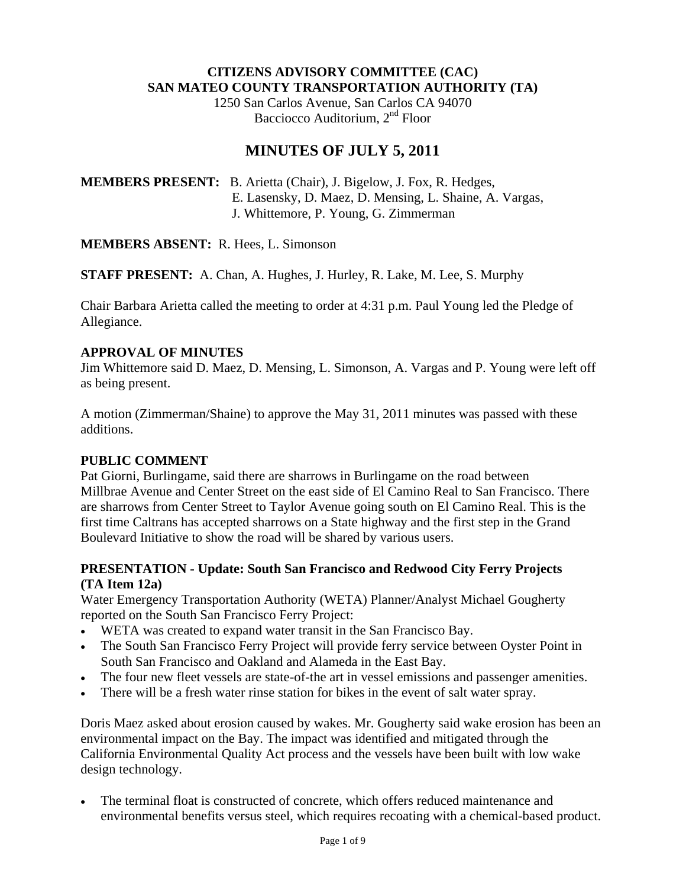#### **CITIZENS ADVISORY COMMITTEE (CAC) SAN MATEO COUNTY TRANSPORTATION AUTHORITY (TA)**

1250 San Carlos Avenue, San Carlos CA 94070 Bacciocco Auditorium, 2<sup>nd</sup> Floor

# **MINUTES OF JULY 5, 2011**

**MEMBERS PRESENT:** B. Arietta (Chair), J. Bigelow, J. Fox, R. Hedges, E. Lasensky, D. Maez, D. Mensing, L. Shaine, A. Vargas, J. Whittemore, P. Young, G. Zimmerman

**MEMBERS ABSENT:** R. Hees, L. Simonson

**STAFF PRESENT:** A. Chan, A. Hughes, J. Hurley, R. Lake, M. Lee, S. Murphy

Chair Barbara Arietta called the meeting to order at 4:31 p.m. Paul Young led the Pledge of Allegiance.

#### **APPROVAL OF MINUTES**

Jim Whittemore said D. Maez, D. Mensing, L. Simonson, A. Vargas and P. Young were left off as being present.

A motion (Zimmerman/Shaine) to approve the May 31, 2011 minutes was passed with these additions.

#### **PUBLIC COMMENT**

Pat Giorni, Burlingame, said there are sharrows in Burlingame on the road between Millbrae Avenue and Center Street on the east side of El Camino Real to San Francisco. There are sharrows from Center Street to Taylor Avenue going south on El Camino Real. This is the first time Caltrans has accepted sharrows on a State highway and the first step in the Grand Boulevard Initiative to show the road will be shared by various users.

### **PRESENTATION - Update: South San Francisco and Redwood City Ferry Projects (TA Item 12a)**

Water Emergency Transportation Authority (WETA) Planner/Analyst Michael Gougherty reported on the South San Francisco Ferry Project:

- WETA was created to expand water transit in the San Francisco Bay.
- The South San Francisco Ferry Project will provide ferry service between Oyster Point in South San Francisco and Oakland and Alameda in the East Bay.
- The four new fleet vessels are state-of-the art in vessel emissions and passenger amenities.
- There will be a fresh water rinse station for bikes in the event of salt water spray.

Doris Maez asked about erosion caused by wakes. Mr. Gougherty said wake erosion has been an environmental impact on the Bay. The impact was identified and mitigated through the California Environmental Quality Act process and the vessels have been built with low wake design technology.

• The terminal float is constructed of concrete, which offers reduced maintenance and environmental benefits versus steel, which requires recoating with a chemical-based product.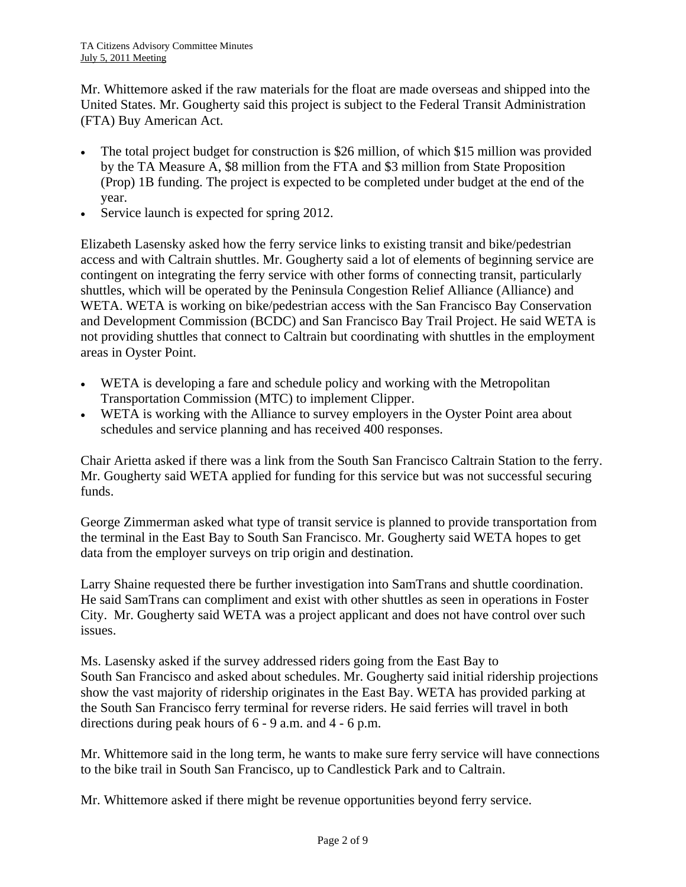Mr. Whittemore asked if the raw materials for the float are made overseas and shipped into the United States. Mr. Gougherty said this project is subject to the Federal Transit Administration (FTA) Buy American Act.

- The total project budget for construction is \$26 million, of which \$15 million was provided by the TA Measure A, \$8 million from the FTA and \$3 million from State Proposition (Prop) 1B funding. The project is expected to be completed under budget at the end of the year.
- Service launch is expected for spring 2012.

Elizabeth Lasensky asked how the ferry service links to existing transit and bike/pedestrian access and with Caltrain shuttles. Mr. Gougherty said a lot of elements of beginning service are contingent on integrating the ferry service with other forms of connecting transit, particularly shuttles, which will be operated by the Peninsula Congestion Relief Alliance (Alliance) and WETA. WETA is working on bike/pedestrian access with the San Francisco Bay Conservation and Development Commission (BCDC) and San Francisco Bay Trail Project. He said WETA is not providing shuttles that connect to Caltrain but coordinating with shuttles in the employment areas in Oyster Point.

- WETA is developing a fare and schedule policy and working with the Metropolitan Transportation Commission (MTC) to implement Clipper.
- WETA is working with the Alliance to survey employers in the Oyster Point area about schedules and service planning and has received 400 responses.

Chair Arietta asked if there was a link from the South San Francisco Caltrain Station to the ferry. Mr. Gougherty said WETA applied for funding for this service but was not successful securing funds.

George Zimmerman asked what type of transit service is planned to provide transportation from the terminal in the East Bay to South San Francisco. Mr. Gougherty said WETA hopes to get data from the employer surveys on trip origin and destination.

Larry Shaine requested there be further investigation into SamTrans and shuttle coordination. He said SamTrans can compliment and exist with other shuttles as seen in operations in Foster City. Mr. Gougherty said WETA was a project applicant and does not have control over such issues.

Ms. Lasensky asked if the survey addressed riders going from the East Bay to South San Francisco and asked about schedules. Mr. Gougherty said initial ridership projections show the vast majority of ridership originates in the East Bay. WETA has provided parking at the South San Francisco ferry terminal for reverse riders. He said ferries will travel in both directions during peak hours of 6 - 9 a.m. and 4 - 6 p.m.

Mr. Whittemore said in the long term, he wants to make sure ferry service will have connections to the bike trail in South San Francisco, up to Candlestick Park and to Caltrain.

Mr. Whittemore asked if there might be revenue opportunities beyond ferry service.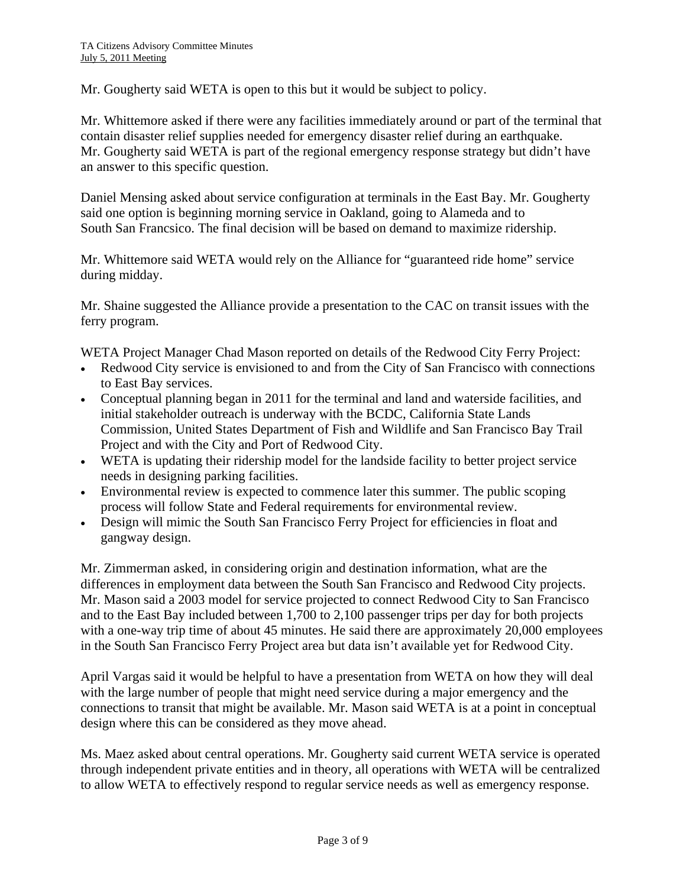Mr. Gougherty said WETA is open to this but it would be subject to policy.

Mr. Whittemore asked if there were any facilities immediately around or part of the terminal that contain disaster relief supplies needed for emergency disaster relief during an earthquake. Mr. Gougherty said WETA is part of the regional emergency response strategy but didn't have an answer to this specific question.

Daniel Mensing asked about service configuration at terminals in the East Bay. Mr. Gougherty said one option is beginning morning service in Oakland, going to Alameda and to South San Francsico. The final decision will be based on demand to maximize ridership.

Mr. Whittemore said WETA would rely on the Alliance for "guaranteed ride home" service during midday.

Mr. Shaine suggested the Alliance provide a presentation to the CAC on transit issues with the ferry program.

WETA Project Manager Chad Mason reported on details of the Redwood City Ferry Project:

- Redwood City service is envisioned to and from the City of San Francisco with connections to East Bay services.
- Conceptual planning began in 2011 for the terminal and land and waterside facilities, and initial stakeholder outreach is underway with the BCDC, California State Lands Commission, United States Department of Fish and Wildlife and San Francisco Bay Trail Project and with the City and Port of Redwood City.
- WETA is updating their ridership model for the landside facility to better project service needs in designing parking facilities.
- Environmental review is expected to commence later this summer. The public scoping process will follow State and Federal requirements for environmental review.
- Design will mimic the South San Francisco Ferry Project for efficiencies in float and gangway design.

Mr. Zimmerman asked, in considering origin and destination information, what are the differences in employment data between the South San Francisco and Redwood City projects. Mr. Mason said a 2003 model for service projected to connect Redwood City to San Francisco and to the East Bay included between 1,700 to 2,100 passenger trips per day for both projects with a one-way trip time of about 45 minutes. He said there are approximately 20,000 employees in the South San Francisco Ferry Project area but data isn't available yet for Redwood City.

April Vargas said it would be helpful to have a presentation from WETA on how they will deal with the large number of people that might need service during a major emergency and the connections to transit that might be available. Mr. Mason said WETA is at a point in conceptual design where this can be considered as they move ahead.

Ms. Maez asked about central operations. Mr. Gougherty said current WETA service is operated through independent private entities and in theory, all operations with WETA will be centralized to allow WETA to effectively respond to regular service needs as well as emergency response.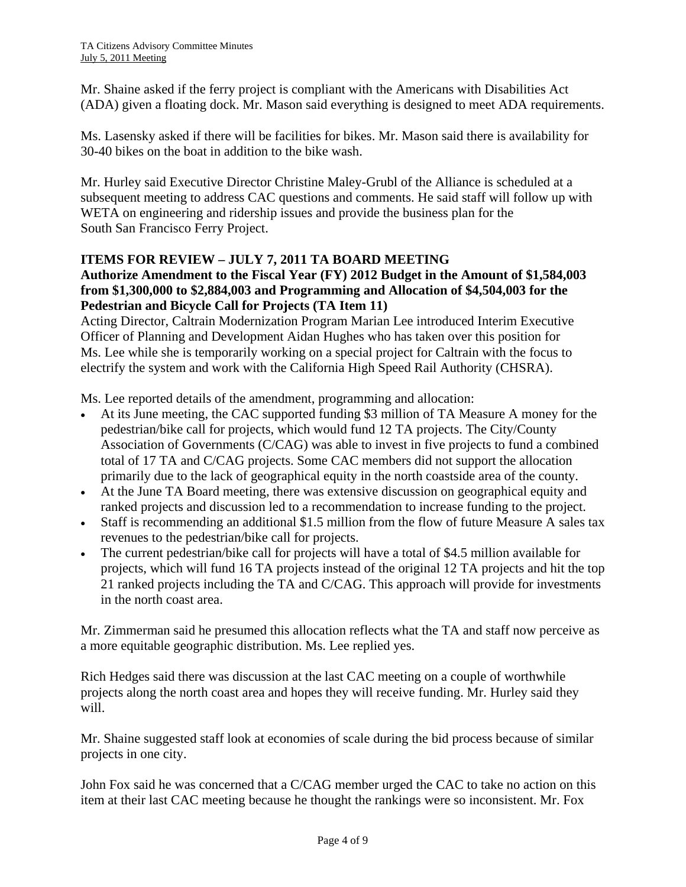Mr. Shaine asked if the ferry project is compliant with the Americans with Disabilities Act (ADA) given a floating dock. Mr. Mason said everything is designed to meet ADA requirements.

Ms. Lasensky asked if there will be facilities for bikes. Mr. Mason said there is availability for 30-40 bikes on the boat in addition to the bike wash.

Mr. Hurley said Executive Director Christine Maley-Grubl of the Alliance is scheduled at a subsequent meeting to address CAC questions and comments. He said staff will follow up with WETA on engineering and ridership issues and provide the business plan for the South San Francisco Ferry Project.

### **ITEMS FOR REVIEW – JULY 7, 2011 TA BOARD MEETING**

# **Authorize Amendment to the Fiscal Year (FY) 2012 Budget in the Amount of \$1,584,003 from \$1,300,000 to \$2,884,003 and Programming and Allocation of \$4,504,003 for the Pedestrian and Bicycle Call for Projects (TA Item 11)**

Acting Director, Caltrain Modernization Program Marian Lee introduced Interim Executive Officer of Planning and Development Aidan Hughes who has taken over this position for Ms. Lee while she is temporarily working on a special project for Caltrain with the focus to electrify the system and work with the California High Speed Rail Authority (CHSRA).

Ms. Lee reported details of the amendment, programming and allocation:

- At its June meeting, the CAC supported funding \$3 million of TA Measure A money for the pedestrian/bike call for projects, which would fund 12 TA projects. The City/County Association of Governments (C/CAG) was able to invest in five projects to fund a combined total of 17 TA and C/CAG projects. Some CAC members did not support the allocation primarily due to the lack of geographical equity in the north coastside area of the county.
- At the June TA Board meeting, there was extensive discussion on geographical equity and ranked projects and discussion led to a recommendation to increase funding to the project.
- Staff is recommending an additional \$1.5 million from the flow of future Measure A sales tax revenues to the pedestrian/bike call for projects.
- The current pedestrian/bike call for projects will have a total of \$4.5 million available for projects, which will fund 16 TA projects instead of the original 12 TA projects and hit the top 21 ranked projects including the TA and C/CAG. This approach will provide for investments in the north coast area.

Mr. Zimmerman said he presumed this allocation reflects what the TA and staff now perceive as a more equitable geographic distribution. Ms. Lee replied yes.

Rich Hedges said there was discussion at the last CAC meeting on a couple of worthwhile projects along the north coast area and hopes they will receive funding. Mr. Hurley said they will.

Mr. Shaine suggested staff look at economies of scale during the bid process because of similar projects in one city.

John Fox said he was concerned that a C/CAG member urged the CAC to take no action on this item at their last CAC meeting because he thought the rankings were so inconsistent. Mr. Fox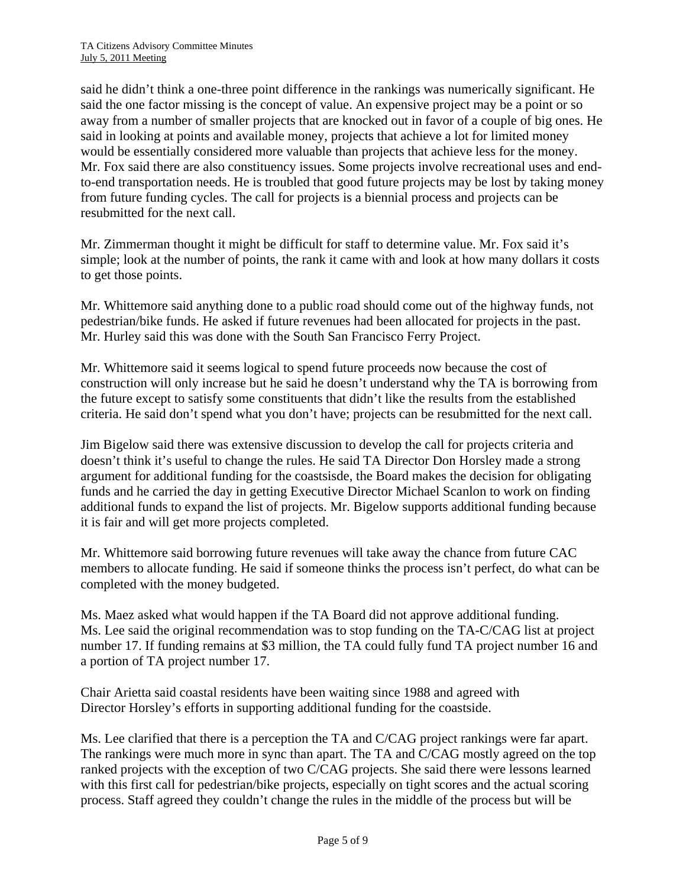said he didn't think a one-three point difference in the rankings was numerically significant. He said the one factor missing is the concept of value. An expensive project may be a point or so away from a number of smaller projects that are knocked out in favor of a couple of big ones. He said in looking at points and available money, projects that achieve a lot for limited money would be essentially considered more valuable than projects that achieve less for the money. Mr. Fox said there are also constituency issues. Some projects involve recreational uses and endto-end transportation needs. He is troubled that good future projects may be lost by taking money from future funding cycles. The call for projects is a biennial process and projects can be resubmitted for the next call.

Mr. Zimmerman thought it might be difficult for staff to determine value. Mr. Fox said it's simple; look at the number of points, the rank it came with and look at how many dollars it costs to get those points.

Mr. Whittemore said anything done to a public road should come out of the highway funds, not pedestrian/bike funds. He asked if future revenues had been allocated for projects in the past. Mr. Hurley said this was done with the South San Francisco Ferry Project.

Mr. Whittemore said it seems logical to spend future proceeds now because the cost of construction will only increase but he said he doesn't understand why the TA is borrowing from the future except to satisfy some constituents that didn't like the results from the established criteria. He said don't spend what you don't have; projects can be resubmitted for the next call.

Jim Bigelow said there was extensive discussion to develop the call for projects criteria and doesn't think it's useful to change the rules. He said TA Director Don Horsley made a strong argument for additional funding for the coastsisde, the Board makes the decision for obligating funds and he carried the day in getting Executive Director Michael Scanlon to work on finding additional funds to expand the list of projects. Mr. Bigelow supports additional funding because it is fair and will get more projects completed.

Mr. Whittemore said borrowing future revenues will take away the chance from future CAC members to allocate funding. He said if someone thinks the process isn't perfect, do what can be completed with the money budgeted.

Ms. Maez asked what would happen if the TA Board did not approve additional funding. Ms. Lee said the original recommendation was to stop funding on the TA-C/CAG list at project number 17. If funding remains at \$3 million, the TA could fully fund TA project number 16 and a portion of TA project number 17.

Chair Arietta said coastal residents have been waiting since 1988 and agreed with Director Horsley's efforts in supporting additional funding for the coastside.

Ms. Lee clarified that there is a perception the TA and C/CAG project rankings were far apart. The rankings were much more in sync than apart. The TA and C/CAG mostly agreed on the top ranked projects with the exception of two C/CAG projects. She said there were lessons learned with this first call for pedestrian/bike projects, especially on tight scores and the actual scoring process. Staff agreed they couldn't change the rules in the middle of the process but will be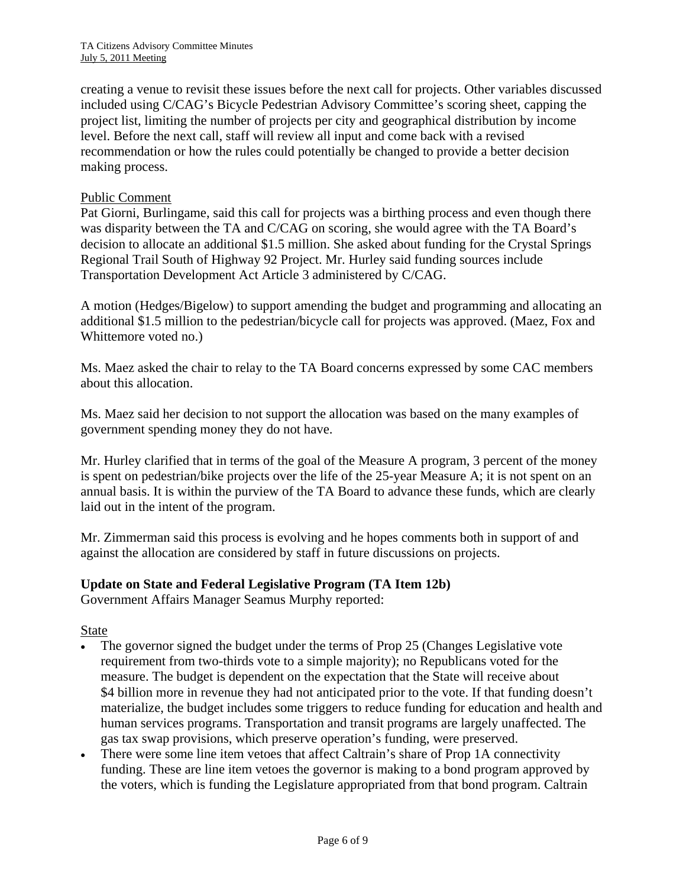creating a venue to revisit these issues before the next call for projects. Other variables discussed included using C/CAG's Bicycle Pedestrian Advisory Committee's scoring sheet, capping the project list, limiting the number of projects per city and geographical distribution by income level. Before the next call, staff will review all input and come back with a revised recommendation or how the rules could potentially be changed to provide a better decision making process.

#### Public Comment

Pat Giorni, Burlingame, said this call for projects was a birthing process and even though there was disparity between the TA and C/CAG on scoring, she would agree with the TA Board's decision to allocate an additional \$1.5 million. She asked about funding for the Crystal Springs Regional Trail South of Highway 92 Project. Mr. Hurley said funding sources include Transportation Development Act Article 3 administered by C/CAG.

A motion (Hedges/Bigelow) to support amending the budget and programming and allocating an additional \$1.5 million to the pedestrian/bicycle call for projects was approved. (Maez, Fox and Whittemore voted no.)

Ms. Maez asked the chair to relay to the TA Board concerns expressed by some CAC members about this allocation.

Ms. Maez said her decision to not support the allocation was based on the many examples of government spending money they do not have.

Mr. Hurley clarified that in terms of the goal of the Measure A program, 3 percent of the money is spent on pedestrian/bike projects over the life of the 25-year Measure A; it is not spent on an annual basis. It is within the purview of the TA Board to advance these funds, which are clearly laid out in the intent of the program.

Mr. Zimmerman said this process is evolving and he hopes comments both in support of and against the allocation are considered by staff in future discussions on projects.

#### **Update on State and Federal Legislative Program (TA Item 12b)**

Government Affairs Manager Seamus Murphy reported:

State

- The governor signed the budget under the terms of Prop 25 (Changes Legislative vote requirement from two-thirds vote to a simple majority); no Republicans voted for the measure. The budget is dependent on the expectation that the State will receive about \$4 billion more in revenue they had not anticipated prior to the vote. If that funding doesn't materialize, the budget includes some triggers to reduce funding for education and health and human services programs. Transportation and transit programs are largely unaffected. The gas tax swap provisions, which preserve operation's funding, were preserved.
- There were some line item vetoes that affect Caltrain's share of Prop 1A connectivity funding. These are line item vetoes the governor is making to a bond program approved by the voters, which is funding the Legislature appropriated from that bond program. Caltrain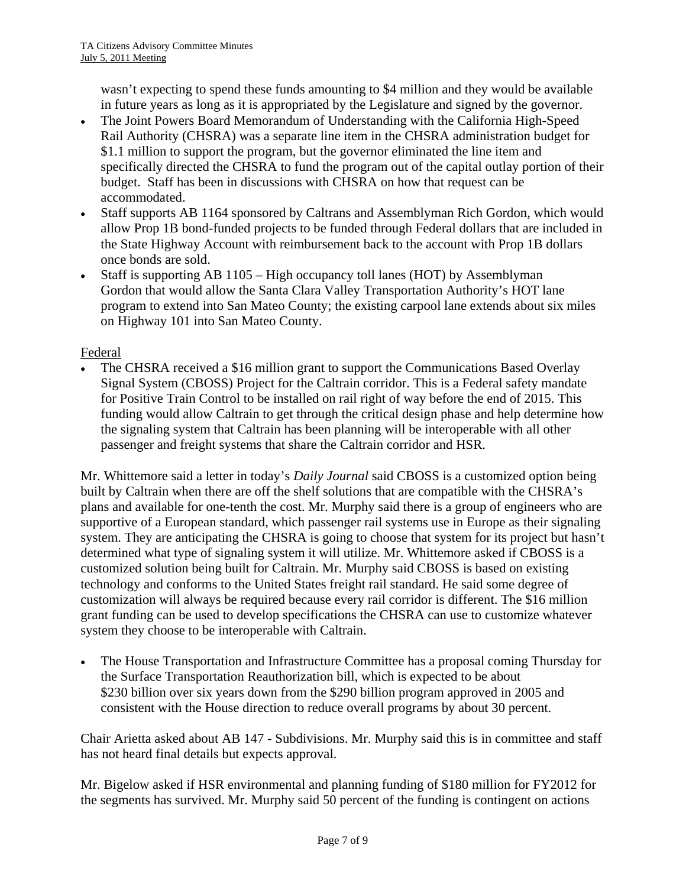wasn't expecting to spend these funds amounting to \$4 million and they would be available in future years as long as it is appropriated by the Legislature and signed by the governor.

- The Joint Powers Board Memorandum of Understanding with the California High-Speed Rail Authority (CHSRA) was a separate line item in the CHSRA administration budget for \$1.1 million to support the program, but the governor eliminated the line item and specifically directed the CHSRA to fund the program out of the capital outlay portion of their budget. Staff has been in discussions with CHSRA on how that request can be accommodated.
- Staff supports AB 1164 sponsored by Caltrans and Assemblyman Rich Gordon, which would allow Prop 1B bond-funded projects to be funded through Federal dollars that are included in the State Highway Account with reimbursement back to the account with Prop 1B dollars once bonds are sold.
- Staff is supporting AB 1105 High occupancy toll lanes (HOT) by Assemblyman Gordon that would allow the Santa Clara Valley Transportation Authority's HOT lane program to extend into San Mateo County; the existing carpool lane extends about six miles on Highway 101 into San Mateo County.

### Federal

The CHSRA received a \$16 million grant to support the Communications Based Overlay Signal System (CBOSS) Project for the Caltrain corridor. This is a Federal safety mandate for Positive Train Control to be installed on rail right of way before the end of 2015. This funding would allow Caltrain to get through the critical design phase and help determine how the signaling system that Caltrain has been planning will be interoperable with all other passenger and freight systems that share the Caltrain corridor and HSR.

Mr. Whittemore said a letter in today's *Daily Journal* said CBOSS is a customized option being built by Caltrain when there are off the shelf solutions that are compatible with the CHSRA's plans and available for one-tenth the cost. Mr. Murphy said there is a group of engineers who are supportive of a European standard, which passenger rail systems use in Europe as their signaling system. They are anticipating the CHSRA is going to choose that system for its project but hasn't determined what type of signaling system it will utilize. Mr. Whittemore asked if CBOSS is a customized solution being built for Caltrain. Mr. Murphy said CBOSS is based on existing technology and conforms to the United States freight rail standard. He said some degree of customization will always be required because every rail corridor is different. The \$16 million grant funding can be used to develop specifications the CHSRA can use to customize whatever system they choose to be interoperable with Caltrain.

• The House Transportation and Infrastructure Committee has a proposal coming Thursday for the Surface Transportation Reauthorization bill, which is expected to be about \$230 billion over six years down from the \$290 billion program approved in 2005 and consistent with the House direction to reduce overall programs by about 30 percent.

Chair Arietta asked about AB 147 - Subdivisions. Mr. Murphy said this is in committee and staff has not heard final details but expects approval.

Mr. Bigelow asked if HSR environmental and planning funding of \$180 million for FY2012 for the segments has survived. Mr. Murphy said 50 percent of the funding is contingent on actions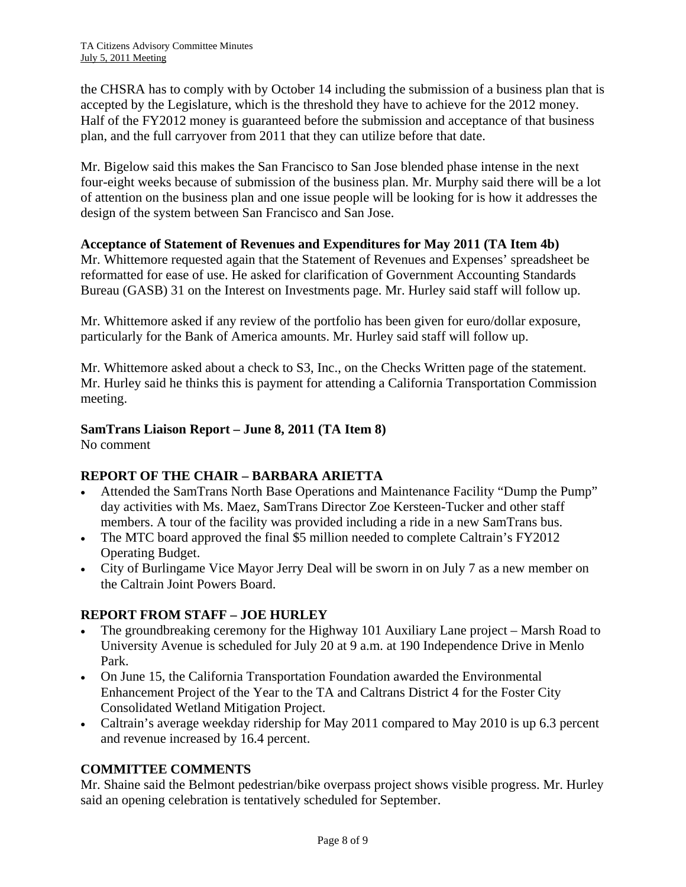the CHSRA has to comply with by October 14 including the submission of a business plan that is accepted by the Legislature, which is the threshold they have to achieve for the 2012 money. Half of the FY2012 money is guaranteed before the submission and acceptance of that business plan, and the full carryover from 2011 that they can utilize before that date.

Mr. Bigelow said this makes the San Francisco to San Jose blended phase intense in the next four-eight weeks because of submission of the business plan. Mr. Murphy said there will be a lot of attention on the business plan and one issue people will be looking for is how it addresses the design of the system between San Francisco and San Jose.

### **Acceptance of Statement of Revenues and Expenditures for May 2011 (TA Item 4b)**

Mr. Whittemore requested again that the Statement of Revenues and Expenses' spreadsheet be reformatted for ease of use. He asked for clarification of Government Accounting Standards Bureau (GASB) 31 on the Interest on Investments page. Mr. Hurley said staff will follow up.

Mr. Whittemore asked if any review of the portfolio has been given for euro/dollar exposure, particularly for the Bank of America amounts. Mr. Hurley said staff will follow up.

Mr. Whittemore asked about a check to S3, Inc., on the Checks Written page of the statement. Mr. Hurley said he thinks this is payment for attending a California Transportation Commission meeting.

# **SamTrans Liaison Report – June 8, 2011 (TA Item 8)**

No comment

# **REPORT OF THE CHAIR – BARBARA ARIETTA**

- Attended the SamTrans North Base Operations and Maintenance Facility "Dump the Pump" day activities with Ms. Maez, SamTrans Director Zoe Kersteen-Tucker and other staff members. A tour of the facility was provided including a ride in a new SamTrans bus.
- The MTC board approved the final \$5 million needed to complete Caltrain's FY2012 Operating Budget.
- City of Burlingame Vice Mayor Jerry Deal will be sworn in on July 7 as a new member on the Caltrain Joint Powers Board.

# **REPORT FROM STAFF – JOE HURLEY**

- The groundbreaking ceremony for the Highway 101 Auxiliary Lane project Marsh Road to University Avenue is scheduled for July 20 at 9 a.m. at 190 Independence Drive in Menlo Park.
- On June 15, the California Transportation Foundation awarded the Environmental Enhancement Project of the Year to the TA and Caltrans District 4 for the Foster City Consolidated Wetland Mitigation Project.
- Caltrain's average weekday ridership for May 2011 compared to May 2010 is up 6.3 percent and revenue increased by 16.4 percent.

# **COMMITTEE COMMENTS**

Mr. Shaine said the Belmont pedestrian/bike overpass project shows visible progress. Mr. Hurley said an opening celebration is tentatively scheduled for September.